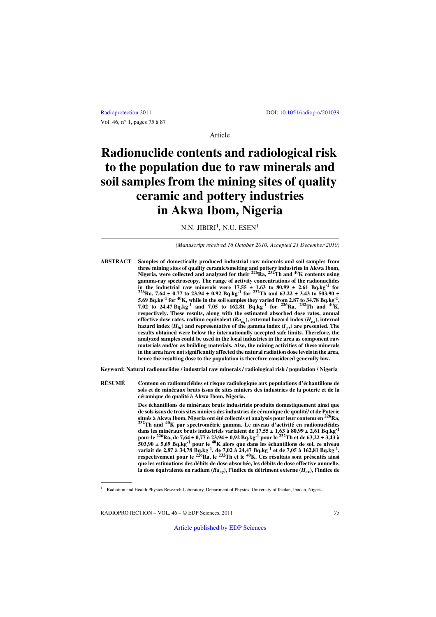Article

# **Radionuclide contents and radiological risk to the population due to raw minerals and soil samples from the mining sites of quality ceramic and pottery industries in Akwa Ibom, Nigeria**

N.N. JIBIRI $^1$ , N.U. ESEN $^1$ 

*(Manuscript received 16 October 2010, Accepted 21 December 2010)*

**ABSTRACT Samples of domestically produced industrial raw minerals and soil samples from three mining sites of quality ceramic/smelting and pottery industries in Akwa Ibom, Nigeria, were collected and analyzed for their 226Ra, 232Th and 40K contents using** gamma-ray spectroscopy. The range of activity concentrations of the radionuclides<br>in the industrial raw minerals were  $17.55 \pm 1.63$  to  $80.99 \pm 2.61$  Bq.kg<sup>-1</sup> for **in the industrial raw minerals were 17.65**  $\frac{1}{2}$  **23.61 D**  $\frac{1}{2}$  **2.61 Bq.kg** <sup>1</sup> **0.7 1.63 1.65 1.65 1.65 1.65 1.65 1.65 1.65 1.65 1.65 1.65 1.65 1.65 1.65 1.65 1.65 1.65 5.69 Bq.kg-1 for 40K, while in the soil samples they varied from 2.87 to 34.78 Bq.kg-1, 7.02 to 24.47 Bq.kg-1 and 7.05 to 162.81 Bq.kg-1 for 226Ra, 232Th and 40K, respectively. These results, along with the estimated absorbed dose rates, annual effective dose rates, radium equivalent (***Raeq***), external hazard index (***Hex***), internal** hazard index  $(H_{in})$  and representative of the gamma index  $(I_{\gamma r})$  are presented. The **results obtained were below the internationally accepted safe limits. Therefore, the analyzed samples could be used in the local industries in the area as component raw materials and/or as building materials. Also, the mining activities of these minerals in the area have not significantly affected the natural radiation dose levels in the area, hence the resulting dose to the population is therefore considered generally low.**

**Keyword: Natural radionuclides / industrial raw minerals / radiological risk / population / Nigeria**

**RÉSUMÉ Contenu en radionucléides et risque radiologique aux populations d'échantillons de sols et de minéraux bruts issus de sites miniers des industries de la poterie et de la céramique de qualité à Akwa Ibom, Nigeria.**

> **Des échantillons de minéraux bruts industriels produits domestiquement ainsi que de sols issus de trois sites miniers des industries de céramique de qualité/ et de Poterie situés à Akwa Ibom, Nigeria ont été collectés et analysés pour leur contenu en 226Ra, 232Th and 40K par spectrométrie gamma. Le niveau d'activité en radionucléides dans les minéraux bruts industriels variaient de 17,55 ± 1,63 à 80,99 ± 2,61 Bq.kg-1 pour le 226Ra, de 7,64 ± 0,77 à 23,94 ± 0,92 Bq.kg-1 pour le 232Th et de 63,22 ± 3,43 à 503,90 ± 5,69 Bq.kg-1 pour le 40K alors que dans les échantillons de sol, ce niveau variait de 2,87 à 34,78 Bq.kg-1, de 7,02 à 24,47 Bq.kg-1 et de 7,05 à 162,81 Bq.kg-1, respectivement pour le 226Ra, le 232Th et le 40K. Ces résultats sont présentés ainsi que les estimations des débits de dose absorbée, les débits de dose effective annuelle, la dose équivalente en radium (***Raeq***), l'indice de détriment externe (***Hex***), l'indice de**

<sup>1</sup> Radiation and Health Physics Research Laboratory, Department of Physics, University of Ibadan, Ibadan, Nigeria.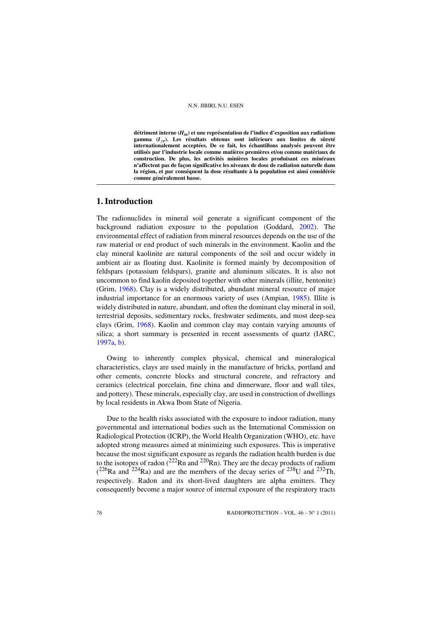**détriment interne (***Hin***) et une représentation de l'indice d'exposition aux radiations** gamma (*I<sub>VF</sub>*). Les résultats obtenus sont inférieurs aux limites de sûreté **internationalement acceptées. De ce fait, les échantillons analysés peuvent être utilisés par l'industrie locale comme matières premières et/ou comme matériaux de construction. De plus, les activités minières locales produisant ces minéraux n'affectent pas de façon significative les niveaux de dose de radiation naturelle dans la région, et par conséquent la dose résultante à la population est ainsi considérée comme généralement basse.**

# **1. Introduction**

The radionuclides in mineral soil generate a significant component of the background radiation exposure to the population (Goddard, [2002\)](#page-11-0). The environmental effect of radiation from mineral resources depends on the use of the raw material or end product of such minerals in the environment. Kaolin and the clay mineral kaolinite are natural components of the soil and occur widely in ambient air as floating dust. Kaolinite is formed mainly by decomposition of feldspars (potassium feldspars), granite and aluminum silicates. It is also not uncommon to find kaolin deposited together with other minerals (illite, bentonite) (Grim, [1968](#page-11-1)). Clay is a widely distributed, abundant mineral resource of major industrial importance for an enormous variety of uses (Ampian, [1985](#page-11-2)). Illite is widely distributed in nature, abundant, and often the dominant clay mineral in soil, terrestrial deposits, sedimentary rocks, freshwater sediments, and most deep-sea clays (Grim, [1968](#page-11-1)). Kaolin and common clay may contain varying amounts of silica; a short summary is presented in recent assessments of quartz (IARC, [1997a](#page-11-3), [b](#page-11-4)).

Owing to inherently complex physical, chemical and mineralogical characteristics, clays are used mainly in the manufacture of bricks, portland and other cements, concrete blocks and structural concrete, and refractory and ceramics (electrical porcelain, fine china and dinnerware, floor and wall tiles, and pottery). These minerals, especially clay, are used in construction of dwellings by local residents in Akwa Ibom State of Nigeria.

Due to the health risks associated with the exposure to indoor radiation, many governmental and international bodies such as the International Commission on Radiological Protection (ICRP), the World Health Organization (WHO), etc. have adopted strong measures aimed at minimizing such exposures. This is imperative because the most significant exposure as regards the radiation health burden is due to the isotopes of radon ( $^{222}$ Rn and  $^{220}$ Rn). They are the decay products of radium  $(^{226}$ Ra and  $^{224}$ Ra) and are the members of the decay series of  $^{238}$ U and  $^{232}$ Th, respectively. Radon and its short-lived daughters are alpha emitters. They consequently become a major source of internal exposure of the respiratory tracts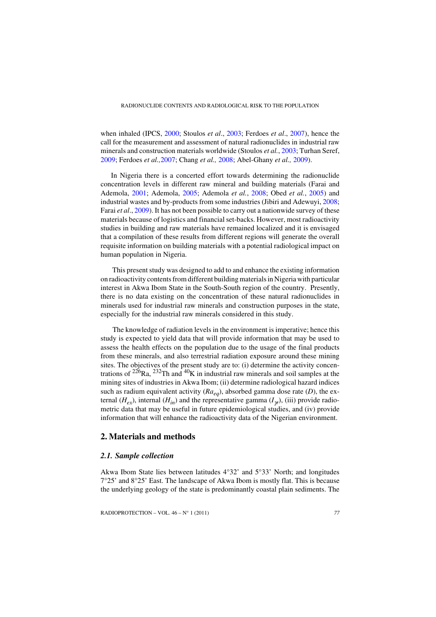when inhaled (IPCS, [2000](#page-11-5); Stoulos *et al*., [2003](#page-12-0); Ferdoes *et al*., [2007\)](#page-11-6), hence the call for the measurement and assessment of natural radionuclides in industrial raw minerals and construction materials worldwide (Stoulos *et al.*, [2003](#page-12-0); Turhan Seref, [2009](#page-12-1); Ferdoes *et al.,*[2007](#page-11-6); Chang *et al.,* [2008](#page-11-7); Abel-Ghany *et al.,* [2009](#page-11-8)).

In Nigeria there is a concerted effort towards determining the radionuclide concentration levels in different raw mineral and building materials (Farai and Ademola, [2001](#page-11-9); Ademola, [2005](#page-11-10); Ademola *et al.*, [2008](#page-11-11); Obed *et al.*, [2005\)](#page-12-2) and industrial wastes and by-products from some industries (Jibiri and Adewuyi, [2008;](#page-12-3) Farai *et al*., [2009\)](#page-11-12). It has not been possible to carry out a nationwide survey of these materials because of logistics and financial set-backs. However, most radioactivity studies in building and raw materials have remained localized and it is envisaged that a compilation of these results from different regions will generate the overall requisite information on building materials with a potential radiological impact on human population in Nigeria.

 This present study was designed to add to and enhance the existing information on radioactivity contents from different building materials in Nigeria with particular interest in Akwa Ibom State in the South-South region of the country. Presently, there is no data existing on the concentration of these natural radionuclides in minerals used for industrial raw minerals and construction purposes in the state, especially for the industrial raw minerals considered in this study.

 The knowledge of radiation levels in the environment is imperative; hence this study is expected to yield data that will provide information that may be used to assess the health effects on the population due to the usage of the final products from these minerals, and also terrestrial radiation exposure around these mining sites. The objectives of the present study are to: (i) determine the activity concentrations of  $226$ Ra,  $232$ Th and  $40$ K in industrial raw minerals and soil samples at the mining sites of industries in Akwa Ibom; (ii) determine radiological hazard indices such as radium equivalent activity  $(Ra_{eq})$ , absorbed gamma dose rate (*D*), the external  $(H_{e\nu})$ , internal  $(H_{in})$  and the representative gamma  $(I_{\nu})$ , (iii) provide radiometric data that may be useful in future epidemiological studies, and (iv) provide information that will enhance the radioactivity data of the Nigerian environment.

# **2. Materials and methods**

## *2.1. Sample collection*

Akwa Ibom State lies between latitudes 4°32' and 5°33' North; and longitudes 7°25' and 8°25' East. The landscape of Akwa Ibom is mostly flat. This is because the underlying geology of the state is predominantly coastal plain sediments. The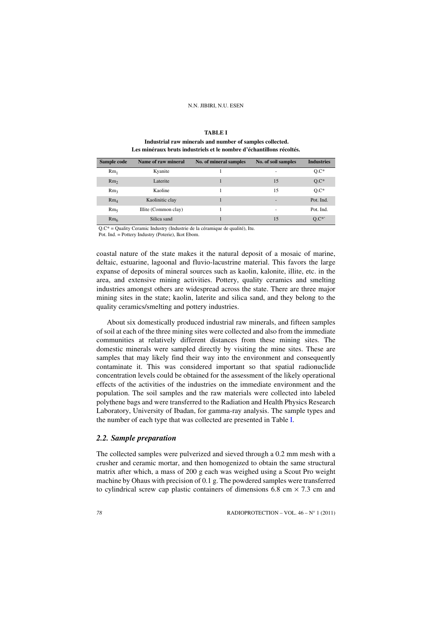#### N.N. JIBIRI, N.U. ESEN

<span id="page-3-0"></span>

| Sample code     | Name of raw mineral  | No. of mineral samples | No. of soil samples | <b>Industries</b> |
|-----------------|----------------------|------------------------|---------------------|-------------------|
| $Rm_1$          | Kyanite              |                        | ۰                   | $Q.C*$            |
| Rm <sub>2</sub> | Laterite             |                        | 15                  | $Q.C^*$           |
| Rm <sub>3</sub> | Kaoline              |                        | 15                  | $Q.C^*$           |
| $Rm_A$          | Kaolinitic clay      |                        | ۰                   | Pot. Ind.         |
| Rm <sub>5</sub> | Illite (Common clay) |                        | ۰                   | Pot. Ind.         |
| Rm <sub>6</sub> | Silica sand          |                        | 15                  | $Q.C^*$           |

#### **TABLE I**

## **Industrial raw minerals and number of samples collected. Les minéraux bruts industriels et le nombre d'échantillons récoltés.**

Q.C\* = Quality Ceramic Industry (Industrie de la céramique de qualité), Itu.

Pot. Ind. = Pottery Industry (Poterie), Ikot Ebom.

coastal nature of the state makes it the natural deposit of a mosaic of marine, deltaic, estuarine, lagoonal and fluvio-lacustrine material. This favors the large expanse of deposits of mineral sources such as kaolin, kalonite, illite, etc. in the area, and extensive mining activities. Pottery, quality ceramics and smelting industries amongst others are widespread across the state. There are three major mining sites in the state; kaolin, laterite and silica sand, and they belong to the quality ceramics/smelting and pottery industries.

About six domestically produced industrial raw minerals, and fifteen samples of soil at each of the three mining sites were collected and also from the immediate communities at relatively different distances from these mining sites. The domestic minerals were sampled directly by visiting the mine sites. These are samples that may likely find their way into the environment and consequently contaminate it. This was considered important so that spatial radionuclide concentration levels could be obtained for the assessment of the likely operational effects of the activities of the industries on the immediate environment and the population. The soil samples and the raw materials were collected into labeled polythene bags and were transferred to the Radiation and Health Physics Research Laboratory, University of Ibadan, for gamma-ray analysis. The sample types and the number of each type that was collected are presented in Table [I](#page-3-0).

# *2.2. Sample preparation*

The collected samples were pulverized and sieved through a 0.2 mm mesh with a crusher and ceramic mortar, and then homogenized to obtain the same structural matrix after which, a mass of 200 g each was weighed using a Scout Pro weight machine by Ohaus with precision of 0.1 g. The powdered samples were transferred to cylindrical screw cap plastic containers of dimensions 6.8 cm  $\times$  7.3 cm and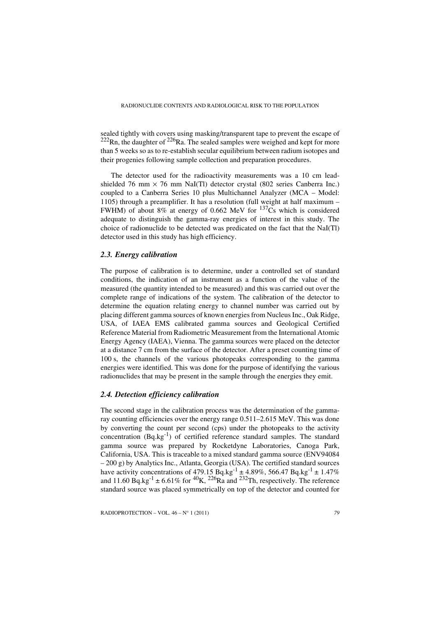sealed tightly with covers using masking/transparent tape to prevent the escape of  $222$ Rn, the daughter of  $226$ Ra. The sealed samples were weighed and kept for more than 5 weeks so as to re-establish secular equilibrium between radium isotopes and their progenies following sample collection and preparation procedures.

The detector used for the radioactivity measurements was a 10 cm leadshielded 76 mm  $\times$  76 mm NaI(Tl) detector crystal (802 series Canberra Inc.) coupled to a Canberra Series 10 plus Multichannel Analyzer (MCA – Model: 1105) through a preamplifier. It has a resolution (full weight at half maximum – FWHM) of about 8% at energy of 0.662 MeV for  $137Cs$  which is considered adequate to distinguish the gamma-ray energies of interest in this study. The choice of radionuclide to be detected was predicated on the fact that the NaI(Tl) detector used in this study has high efficiency.

# *2.3. Energy calibration*

The purpose of calibration is to determine, under a controlled set of standard conditions, the indication of an instrument as a function of the value of the measured (the quantity intended to be measured) and this was carried out over the complete range of indications of the system. The calibration of the detector to determine the equation relating energy to channel number was carried out by placing different gamma sources of known energies from Nucleus Inc., Oak Ridge, USA, of IAEA EMS calibrated gamma sources and Geological Certified Reference Material from Radiometric Measurement from the International Atomic Energy Agency (IAEA), Vienna. The gamma sources were placed on the detector at a distance 7 cm from the surface of the detector. After a preset counting time of 100 s, the channels of the various photopeaks corresponding to the gamma energies were identified. This was done for the purpose of identifying the various radionuclides that may be present in the sample through the energies they emit.

## *2.4. Detection efficiency calibration*

The second stage in the calibration process was the determination of the gammaray counting efficiencies over the energy range 0.511–2.615 MeV. This was done by converting the count per second (cps) under the photopeaks to the activity concentration (Bq.kg-1) of certified reference standard samples. The standard gamma source was prepared by Rocketdyne Laboratories, Canoga Park, California, USA. This is traceable to a mixed standard gamma source (ENV94084  $-200$  g) by Analytics Inc., Atlanta, Georgia (USA). The certified standard sources have activity concentrations of 479.15 Bq.kg<sup>-1</sup>  $\pm$  4.89%, 566.47 Bq.kg<sup>-1</sup>  $\pm$  1.47% and 11.60 Bq.kg<sup>-1</sup>  $\pm$  6.61% for <sup>40</sup>K, <sup>226</sup>Ra and <sup>232</sup>Th, respectively. The reference standard source was placed symmetrically on top of the detector and counted for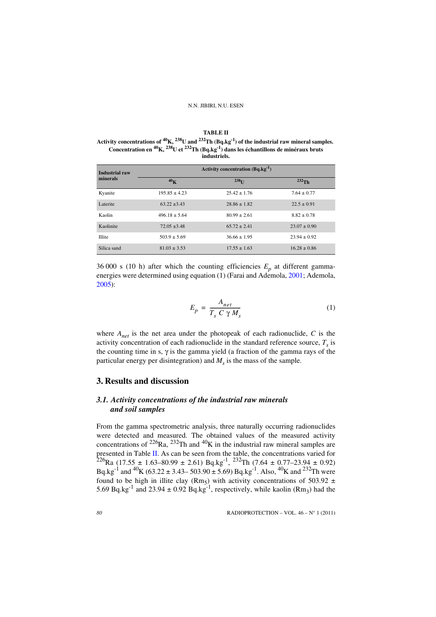#### **TABLE II**

<span id="page-5-0"></span>**Activity concentrations of 40K, 238U and 232Th (Bq.kg-1) of the industrial raw mineral samples. Concentration en 40K, 238U et 232Th (Bq.kg-1) dans les échantillons de minéraux bruts industriels.**

| <b>Industrial raw</b> |                   | Activity concentration $(Bq \cdot kg^{-1})$ |                  |
|-----------------------|-------------------|---------------------------------------------|------------------|
| minerals              | 40 <sub>K</sub>   | $238$ <sup>I</sup>                          | $^{232}$ Th      |
| Kyanite               | $195.85 \pm 4.23$ | $25.42 \pm 1.76$                            | $7.64 \pm 0.77$  |
| Laterite              | $63.22 + 3.43$    | $28.86 \pm 1.82$                            | $22.5 \pm 0.91$  |
| Kaolin                | $496.18 \pm 5.64$ | $80.99 \pm 2.61$                            | $8.82 \pm 0.78$  |
| Kaolinite             | $72.05 + 3.48$    | $65.72 \pm 2.41$                            | $23.07 \pm 0.90$ |
| <b>Illite</b>         | $503.9 \pm 5.69$  | $36.66 \pm 1.95$                            | $23.94 \pm 0.92$ |
| Silica sand           | $81.03 \pm 3.53$  | $17.55 \pm 1.63$                            | $16.28 \pm 0.86$ |

36 000 s (10 h) after which the counting efficiencies  $E_p$  at different gamma-energies were determined using equation (1) (Farai and Ademola, [2001;](#page-11-9) Ademola, [2005\)](#page-11-10):

$$
E_p = \frac{A_{net}}{T_s C \gamma M_s} \tag{1}
$$

where *Anet* is the net area under the photopeak of each radionuclide, *C* is the activity concentration of each radionuclide in the standard reference source,  $T<sub>s</sub>$  is the counting time in s,  $\gamma$  is the gamma yield (a fraction of the gamma rays of the particular energy per disintegration) and  $M_s$  is the mass of the sample.

# **3. Results and discussion**

# *3.1. Activity concentrations of the industrial raw minerals and soil samples*

From the gamma spectrometric analysis, three naturally occurring radionuclides were detected and measured. The obtained values of the measured activity concentrations of  $^{226}$ Ra,  $^{232}$ Th and  $^{40}$ K in the industrial raw mineral samples are presented in Table [II.](#page-5-0) As can be seen from the table, the concentrations varied for  $226$ Ra (17.55 ± 1.63–80.99 ± 2.61) Bq.kg<sup>-1</sup>,  $232$ Th (7.64 ± 0.77–23.94 ± 0.92) Bq.kg<sup>-1</sup> and <sup>40</sup>K (63.22 ± 3.43– 503.90 ± 5.69) Bq.kg<sup>-1</sup>. Also, <sup>40</sup>K and <sup>232</sup>Th were found to be high in illite clay (Rm<sub>5</sub>) with activity concentrations of 503.92  $\pm$ 5.69 Bq.kg<sup>-1</sup> and 23.94  $\pm$  0.92 Bq.kg<sup>-1</sup>, respectively, while kaolin (Rm<sub>3</sub>) had the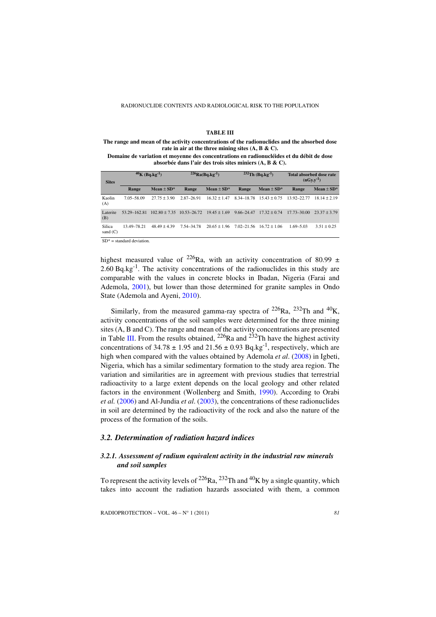#### **TABLE III**

<span id="page-6-0"></span>**The range and mean of the activity concentrations of the radionuclides and the absorbed dose rate in air at the three mining sites (A, B & C).**

**Domaine de variation et moyenne des concentrations en radionucléides et du débit de dose absorbée dans l'air des trois sites miniers (A, B & C).**

| <b>Sites</b>         | $40K$ (Bq.kg <sup>-1</sup> ) |                            | $^{226}Ra(Bq.kg^{-1})$ |                | $232$ Th (Bq.kg <sup>-1</sup> ) |                | Total absorbed dose rate<br>$(nGy.y^{-1})$ |                |
|----------------------|------------------------------|----------------------------|------------------------|----------------|---------------------------------|----------------|--------------------------------------------|----------------|
|                      | Range                        | Mean $\pm$ SD <sup>*</sup> | Range                  | Mean $\pm$ SD* | Range                           | Mean $\pm$ SD* | Range                                      | Mean $\pm$ SD* |
| Kaolin<br>(A)        | 7.05-58.09                   | $2775 + 390$               | 2.87-26.91             | $1632 + 147$   | 8.34-18.78                      | $1543 + 075$   | 13.92-22.77                                | $1814 + 219$   |
| Laterite<br>(B)      | 53.29-162.81                 | $102.80 + 7.35$            | 10.53-26.72            | $1945 + 169$   | $9.66 - 24.47$                  | $1732 + 074$   | $17.73 - 30.00$                            | $2337 + 379$   |
| Silica<br>sand $(C)$ | 13.49-78.21                  | $4849 + 439$               | 7.54-34.78             | $20.65 + 1.96$ | $7.02 - 21.56$                  | $1672 + 106$   | $1.69 - 5.03$                              | $3.51 + 0.25$  |
|                      |                              |                            |                        |                |                                 |                |                                            |                |

 $SD* =$  standard deviation.

highest measured value of <sup>226</sup>Ra, with an activity concentration of 80.99  $\pm$  $2.60$  Bq.kg<sup>-1</sup>. The activity concentrations of the radionuclides in this study are comparable with the values in concrete blocks in Ibadan, Nigeria (Farai and Ademola, [2001](#page-11-9)), but lower than those determined for granite samples in Ondo State (Ademola and Ayeni, [2010\)](#page-11-13).

Similarly, from the measured gamma-ray spectra of  $^{226}$ Ra,  $^{232}$ Th and  $^{40}$ K, activity concentrations of the soil samples were determined for the three mining sites (A, B and C). The range and mean of the activity concentrations are presented in Table [III](#page-6-0). From the results obtained,  $^{226}$ Ra and  $^{232}$ Th have the highest activity concentrations of  $34.78 \pm 1.95$  and  $21.56 \pm 0.93$  Bq.kg<sup>-1</sup>, respectively, which are high when compared with the values obtained by Ademola *et al*. [\(2008](#page-11-11)) in Igbeti, Nigeria, which has a similar sedimentary formation to the study area region. The variation and similarities are in agreement with previous studies that terrestrial radioactivity to a large extent depends on the local geology and other related factors in the environment (Wollenberg and Smith, [1990](#page-12-4)). According to Orabi *et al.* ([2006\)](#page-12-5) and Al-Jundia *et al*. ([2003\)](#page-11-14), the concentrations of these radionuclides in soil are determined by the radioactivity of the rock and also the nature of the process of the formation of the soils.

## *3.2. Determination of radiation hazard indices*

# *3.2.1. Assessment of radium equivalent activity in the industrial raw minerals and soil samples*

To represent the activity levels of  $^{226}$ Ra,  $^{232}$ Th and  $^{40}$ K by a single quantity, which takes into account the radiation hazards associated with them, a common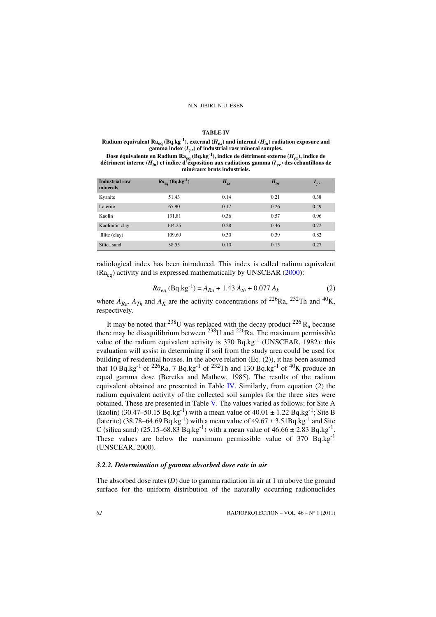#### **TABLE IV**

<span id="page-7-0"></span>**Radium equivalent Ra<sub>eq</sub> (Bq.kg<sup>-1</sup>), external (** $H_{ex}$ **) and internal (** $H_{in}$ **) radiation exposure and** gamma index  $(I_{\gamma r})$  of industrial raw mineral samples.

**Dose équivalente en Radium Raeq (Bq.kg-1), indice de détriment externe (***Hex***), indice de**  détriment interne ( $H_{in}$ ) et indice d'exposition aux radiations gamma ( $I_{\gamma r}$ ) des échantillons de **minéraux bruts industriels.**

| <b>Industrial raw</b><br>minerals | $Ra_{eq}$ (Bq.kg <sup>-1</sup> ) | $H_{ex}$ | $H_{in}$ | $I_{\gamma r}$ |
|-----------------------------------|----------------------------------|----------|----------|----------------|
| Kyanite                           | 51.43                            | 0.14     | 0.21     | 0.38           |
| Laterite                          | 65.90                            | 0.17     | 0.26     | 0.49           |
| Kaolin                            | 131.81                           | 0.36     | 0.57     | 0.96           |
| Kaolinitic clay                   | 104.25                           | 0.28     | 0.46     | 0.72           |
| Illite (clay)                     | 109.69                           | 0.30     | 0.39     | 0.82           |
| Silica sand                       | 38.55                            | 0.10     | 0.15     | 0.27           |

radiological index has been introduced. This index is called radium equivalent  $(Ra_{eq})$  activity and is expressed mathematically by UNSCEAR [\(2000](#page-12-6)):

$$
Ra_{eq} \text{ (Bq.kg}^{-1)} = A_{Ra} + 1.43 A_{th} + 0.077 A_k \tag{2}
$$

where  $A_{Ra}$ ,  $A_{Th}$  and  $A_K$  are the activity concentrations of <sup>226</sup>Ra, <sup>232</sup>Th and <sup>40</sup>K, respectively.

It may be noted that <sup>238</sup>U was replaced with the decay product <sup>226</sup> R<sub>a</sub> because there may be disequilibrium between  $^{238}$ U and  $^{226}$ Ra. The maximum permissible value of the radium equivalent activity is  $370$  Bq.kg<sup>-1</sup> (UNSCEAR, 1982): this evaluation will assist in determining if soil from the study area could be used for building of residential houses. In the above relation (Eq. (2)), it has been assumed that 10 Bq.kg<sup>-1</sup> of <sup>226</sup>Ra, 7 Bq.kg<sup>-1</sup> of <sup>232</sup>Th and 130 Bq.kg<sup>-1</sup> of <sup>40</sup>K produce an equal gamma dose (Beretka and Mathew, 1985). The results of the radium equivalent obtained are presented in Table [IV](#page-7-0). Similarly, from equation (2) the radium equivalent activity of the collected soil samples for the three sites were obtained. These are presented in Table [V.](#page-8-0) The values varied as follows; for Site A (kaolin) (30.47–50.15 Bq.kg<sup>-1</sup>) with a mean value of 40.01  $\pm$  1.22 Bq.kg<sup>-1</sup>; Site B (laterite) (38.78–64.69  $\text{Bq.kg}^{-1}$ ) with a mean value of 49.67  $\pm$  3.51Bq.kg<sup>-1</sup> and Site C (silica sand) (25.15–68.83 Bq.kg<sup>-1</sup>) with a mean value of  $46.66 \pm 2.83$  Bq.kg<sup>-1</sup>. These values are below the maximum permissible value of  $370$  Bq.kg<sup>-1</sup> (UNSCEAR, 2000).

## *3.2.2. Determination of gamma absorbed dose rate in air*

The absorbed dose rates  $(D)$  due to gamma radiation in air at 1 m above the ground surface for the uniform distribution of the naturally occurring radionuclides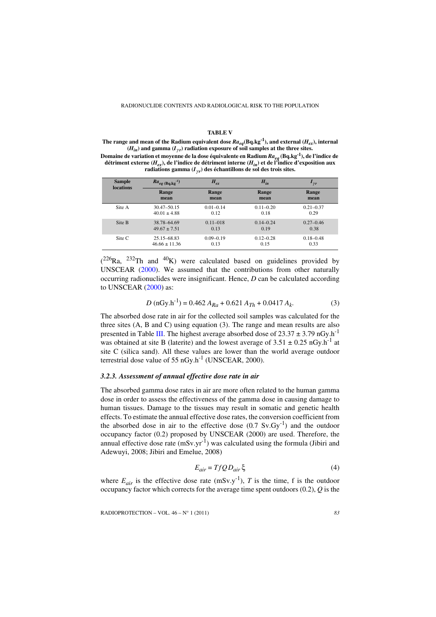#### **TABLE V**

<span id="page-8-0"></span>The range and mean of the Radium equivalent dose  $Ra_{eq}(Bq.kg^{-1})$ , and external  $(H_{ex})$ , internal  $(H_{in})$  and gamma  $(I_{\gamma r})$  radiation exposure of soil samples at the three sites.

**Domaine de variation et moyenne de la dose équivalente en Radium** *Raeq* **(Bq.kg-1), de l'indice de détriment externe (***Hex***), de l'indice de détriment interne (***Hin***) et de l'indice d'exposition aux**  radiations gamma  $(I_{\gamma r})$  des échantillons de sol des trois sites.

| <b>Sample</b><br>locations | $Ra_{eq}$ (Bq.kg <sup>-1</sup> ) | $H_{ex}$      | $H_{in}$      | $I_{\gamma r}$ |
|----------------------------|----------------------------------|---------------|---------------|----------------|
|                            | Range                            | Range         | Range         | Range          |
|                            | mean                             | mean          | mean          | mean           |
| Site A                     | $30.47 - 50.15$                  | $0.01 - 0.14$ | $0.11 - 0.20$ | $0.21 - 0.37$  |
|                            | $40.01 \pm 4.88$                 | 0.12          | 0.18          | 0.29           |
| Site B                     | 38.78-64.69                      | $0.11 - 018$  | $0.14 - 0.24$ | $0.27 - 0.46$  |
|                            | $49.67 \pm 7.51$                 | 0.13          | 0.19          | 0.38           |
| Site C                     | 25.15-68.83                      | $0.09 - 0.19$ | $0.12 - 0.28$ | $0.18 - 0.48$  |
|                            | $46.66 \pm 11.36$                | 0.13          | 0.15          | 0.33           |

 $(^{226}$ Ra,  $^{232}$ Th and  $^{40}$ K) were calculated based on guidelines provided by UNSCEAR [\(2000](#page-12-6)). We assumed that the contributions from other naturally occurring radionuclides were insignificant. Hence, *D* can be calculated according to UNSCEAR [\(2000](#page-12-6)) as:

$$
D \left( nGy.h^{-1} \right) = 0.462 A_{Ra} + 0.621 A_{Th} + 0.0417 A_k. \tag{3}
$$

The absorbed dose rate in air for the collected soil samples was calculated for the three sites (A, B and C) using equation (3). The range and mean results are also presented in Table [III.](#page-6-0) The highest average absorbed dose of  $23.37 \pm 3.79 \text{ nGy} \cdot \text{h}^{-1}$ was obtained at site B (laterite) and the lowest average of  $3.51 \pm 0.25$  nGy.h<sup>-1</sup> at site C (silica sand). All these values are lower than the world average outdoor terrestrial dose value of  $55 \text{ nGy.h}^{-1}$  (UNSCEAR, 2000).

# *3.2.3. Assessment of annual effective dose rate in air*

The absorbed gamma dose rates in air are more often related to the human gamma dose in order to assess the effectiveness of the gamma dose in causing damage to human tissues. Damage to the tissues may result in somatic and genetic health effects. To estimate the annual effective dose rates, the conversion coefficient from the absorbed dose in air to the effective dose  $(0.7 \text{ Sv.Gv}^{-1})$  and the outdoor occupancy factor (0.2) proposed by UNSCEAR (2000) are used. Therefore, the annual effective dose rate  $(mSv.yr^{-1})$  was calculated using the formula (Jibiri and Adewuyi, 2008; Jibiri and Emelue, 2008)

$$
E_{air} = TfQD_{air} \xi
$$
 (4)

where  $E_{air}$  is the effective dose rate (mSv.y<sup>-1</sup>), *T* is the time, f is the outdoor occupancy factor which corrects for the average time spent outdoors (0.2), *Q* is the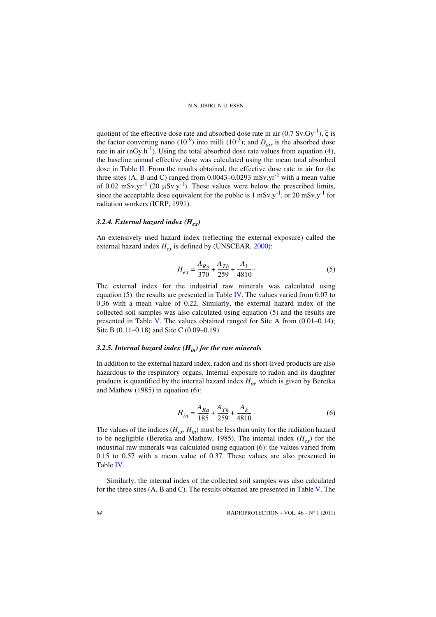quotient of the effective dose rate and absorbed dose rate in air  $(0.7 \text{ Sv.Gy}^{-1})$ ,  $\xi$  is the factor converting nano  $(10^{-9})$  into milli  $(10^{-3})$ ; and  $D_{air}$  is the absorbed dose rate in air  $(nGy.h^{-1})$ . Using the total absorbed dose rate values from equation (4), the baseline annual effective dose was calculated using the mean total absorbed dose in Table [II.](#page-5-0) From the results obtained, the effective dose rate in air for the three sites (A, B and C) ranged from  $0.0043-0.0293$  mSv.yr<sup>-1</sup> with a mean value of 0.02 mSv.yr<sup>-1</sup> (20  $\mu$ Sv.y<sup>-1</sup>). These values were below the prescribed limits, since the acceptable dose equivalent for the public is 1 mSv.y<sup>-1</sup>, or 20 mSv.y<sup>-1</sup> for radiation workers (ICRP, 1991).

# *3.2.4. External hazard index (Hex)*

An extensively used hazard index (reflecting the external exposure) called the external hazard index  $H_{ex}$  is defined by (UNSCEAR, [2000](#page-12-6)):

$$
H_{ex} = \frac{A_{Ra}}{370} + \frac{A_{Th}}{259} + \frac{A_k}{4810} \tag{5}
$$

The external index for the industrial raw minerals was calculated using equation (5): the results are presented in Table [IV.](#page-7-0) The values varied from  $0.07$  to 0.36 with a mean value of 0.22. Similarly, the external hazard index of the collected soil samples was also calculated using equation (5) and the results are presented in Table [V](#page-8-0). The values obtained ranged for Site A from  $(0.01-0.14)$ ; Site B (0.11–0.18) and Site C (0.09–0.19).

# *3.2.5. Internal hazard index (Hin) for the raw minerals*

In addition to the external hazard index, radon and its short-lived products are also hazardous to the respiratory organs. Internal exposure to radon and its daughter products is quantified by the internal hazard index *Hin,* which is given by Beretka and Mathew (1985) in equation (6):

$$
H_{in} = \frac{A_{Ra}}{185} + \frac{A_{Th}}{259} + \frac{A_k}{4810} \tag{6}
$$

The values of the indices  $(H_{\rho x}, H_{in})$  must be less than unity for the radiation hazard to be negligible (Beretka and Mathew, 1985). The internal index  $(H_{\rho x})$  for the industrial raw minerals was calculated using equation (6): the values varied from 0.15 to 0.57 with a mean value of 0.37. These values are also presented in Table [IV](#page-7-0).

Similarly, the internal index of the collected soil samples was also calculated for the three sites (A, B and C). The results obtained are presented in Table [V](#page-8-0). The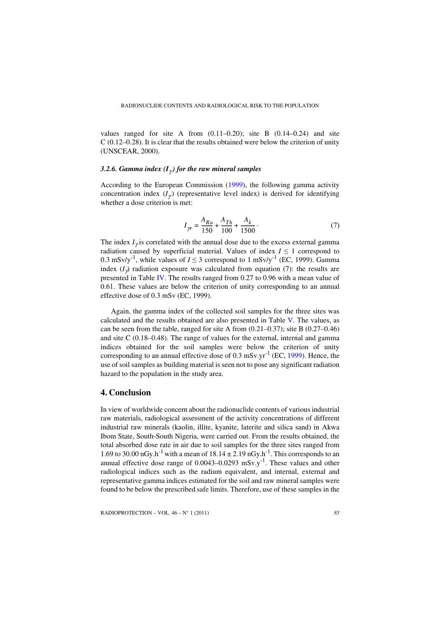values ranged for site A from  $(0.11-0.20)$ ; site B  $(0.14-0.24)$  and site C (0.12–0.28). It is clear that the results obtained were below the criterion of unity (UNSCEAR, 2000).

## *3.2.6. Gamma index*  $(I_{\gamma})$  *for the raw mineral samples*

According to the European Commission [\(1999](#page-11-15)), the following gamma activity concentration index  $(I_{\gamma})$  (representative level index) is derived for identifying whether a dose criterion is met:

$$
I_{\gamma r} = \frac{A_{Ra}}{150} + \frac{A_{Th}}{100} + \frac{A_k}{1500} \tag{7}
$$

The index  $I_{\gamma}$  is correlated with the annual dose due to the excess external gamma radiation caused by superficial material. Values of index  $I \leq 1$  correspond to 0.3 mSv/y<sup>-1</sup>, while values of  $I \le 3$  correspond to 1 mSv/y<sup>-1</sup> (EC, 1999). Gamma index  $(I_{\gamma})$  radiation exposure was calculated from equation (7): the results are presented in Table [IV.](#page-7-0) The results ranged from 0.27 to 0.96 with a mean value of 0.61. These values are below the criterion of unity corresponding to an annual effective dose of 0.3 mSv (EC, 1999).

Again, the gamma index of the collected soil samples for the three sites was calculated and the results obtained are also presented in Table [V.](#page-8-0) The values, as can be seen from the table, ranged for site A from (0.21–0.37); site B (0.27–0.46) and site C (0.18–0.48). The range of values for the external, internal and gamma indices obtained for the soil samples were below the criterion of unity corresponding to an annual effective dose of  $0.3 \text{ mSv.yr}^{-1}$  (EC, [1999](#page-11-15)). Hence, the use of soil samples as building material is seen not to pose any significant radiation hazard to the population in the study area.

# **4. Conclusion**

In view of worldwide concern about the radionuclide contents of various industrial raw materials, radiological assessment of the activity concentrations of different industrial raw minerals (kaolin, illite, kyanite, laterite and silica sand) in Akwa Ibom State, South-South Nigeria, were carried out. From the results obtained, the total absorbed dose rate in air due to soil samples for the three sites ranged from 1.69 to 30.00 nGy.h<sup>-1</sup> with a mean of  $18.14 \pm 2.19$  nGy.h<sup>-1</sup>. This corresponds to an annual effective dose range of  $0.0043-0.0293$  mSv.y<sup>-1</sup>. These values and other radiological indices such as the radium equivalent, and internal, external and representative gamma indices estimated for the soil and raw mineral samples were found to be below the prescribed safe limits. Therefore, use of these samples in the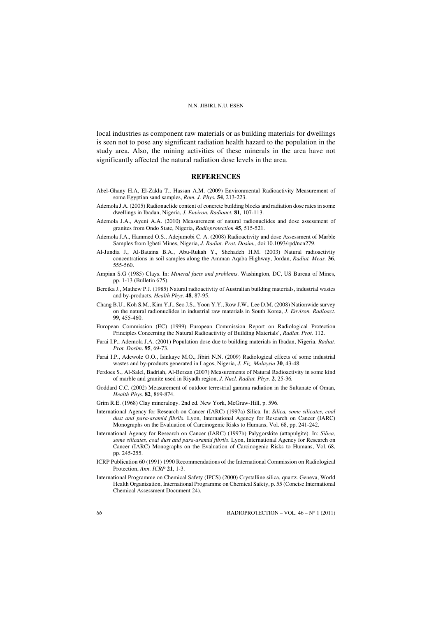local industries as component raw materials or as building materials for dwellings is seen not to pose any significant radiation health hazard to the population in the study area. Also, the mining activities of these minerals in the area have not significantly affected the natural radiation dose levels in the area.

## **REFERENCES**

- <span id="page-11-8"></span>Abel-Ghany H.A, El-Zakla T., Hassan A.M. (2009) Environmental Radioactivity Measurement of some Egyptian sand samples, *Rom. J. Phys.* **54**, 213-223.
- <span id="page-11-10"></span>Ademola J.A. (2005) Radionuclide content of concrete building blocks and radiation dose rates in some dwellings in Ibadan, Nigeria, *J. Environ. Radioact.* **81***,* 107-113.
- <span id="page-11-13"></span>Ademola J.A., Ayeni A.A. (2010) Measurement of natural radionuclides and dose assessment of granites from Ondo State, Nigeria, *Radioprotection* **45**, 515-521.
- <span id="page-11-11"></span>Ademola J.A., Hammed O.S., Adejumobi C. A. (2008) Radioactivity and dose Assessment of Marble Samples from Igbeti Mines, Nigeria, *J. Radiat. Prot. Dosim.,* doi:10.1093/rpd/ncn279.
- <span id="page-11-14"></span>Al-Jundia J., Al-Bataina B.A., Abu-Rukah Y., Shehadeh H.M. (2003) Natural radioactivity concentrations in soil samples along the Amman Aqaba Highway, Jordan, *Radiat. Meas.* **36**, 555-560.
- <span id="page-11-2"></span>Ampian S.G (1985) Clays. In: *Mineral facts and problems*. Washington, DC, US Bureau of Mines, pp. 1-13 (Bulletin 675).
- Beretka J., Mathew P.J. (1985) Natural radioactivity of Australian building materials, industrial wastes and by-products, *Health Phys.* **48**, 87-95.
- <span id="page-11-7"></span>Chang B.U., Koh S.M., Kim Y.J., Seo J.S., Yoon Y.Y., Row J.W., Lee D.M. (2008) Nationwide survey on the natural radionuclides in industrial raw materials in South Korea, *J. Environ. Radioact.* **99**, 455-460.
- <span id="page-11-15"></span>European Commission (EC) (1999) European Commission Report on Radiological Protection Principles Concerning the Natural Radioactivity of Building Materials', *Radiat. Prot.* 112.
- <span id="page-11-9"></span>Farai I.P., Ademola J.A. (2001) Population dose due to building materials in Ibadan, Nigeria, *Radiat. Prot. Dosim*. **95**, 69-73.
- <span id="page-11-12"></span>Farai I.P., Adewole O.O., Isinkaye M.O., Jibiri N.N. (2009) Radiological effects of some industrial wastes and by-products generated in Lagos, Nigeria, *J. Fiz. Malaysia* **30**, 43-48.
- <span id="page-11-6"></span>Ferdoes S., Al-Salel, Badriah, Al-Berzan (2007) Measurements of Natural Radioactivity in some kind of marble and granite used in Riyadh region, *J. Nucl. Radiat. Phys.* **2**, 25-36*.*
- <span id="page-11-0"></span>Goddard C.C. (2002) Measurement of outdoor terrestrial gamma radiation in the Sultanate of Oman, *Health Phys.* **82**, 869-874.
- <span id="page-11-1"></span>Grim R.E. (1968) Clay mineralogy. 2nd ed. New York, McGraw-Hill, p. 596.
- <span id="page-11-3"></span>International Agency for Research on Cancer (IARC) (1997a) Silica. In: *Silica, some silicates, coal dust and para-aramid fibrils*. Lyon, International Agency for Research on Cancer (IARC) Monographs on the Evaluation of Carcinogenic Risks to Humans, Vol. 68, pp. 241-242.
- <span id="page-11-4"></span>International Agency for Research on Cancer (IARC) (1997b) Palygorskite (attapulgite). In: *Silica, some silicates, coal dust and para-aramid fibrils*. Lyon, International Agency for Research on Cancer (IARC) Monographs on the Evaluation of Carcinogenic Risks to Humans, Vol. 68, pp. 245-255.
- ICRP Publication 60 (1991) 1990 Recommendations of the International Commission on Radiological Protection, *Ann. ICRP* **21**, 1-3.
- <span id="page-11-5"></span>International Programme on Chemical Safety (IPCS) (2000) Crystalline silica, quartz. Geneva, World Health Organization, International Programme on Chemical Safety, p. 55 (Concise International Chemical Assessment Document 24).